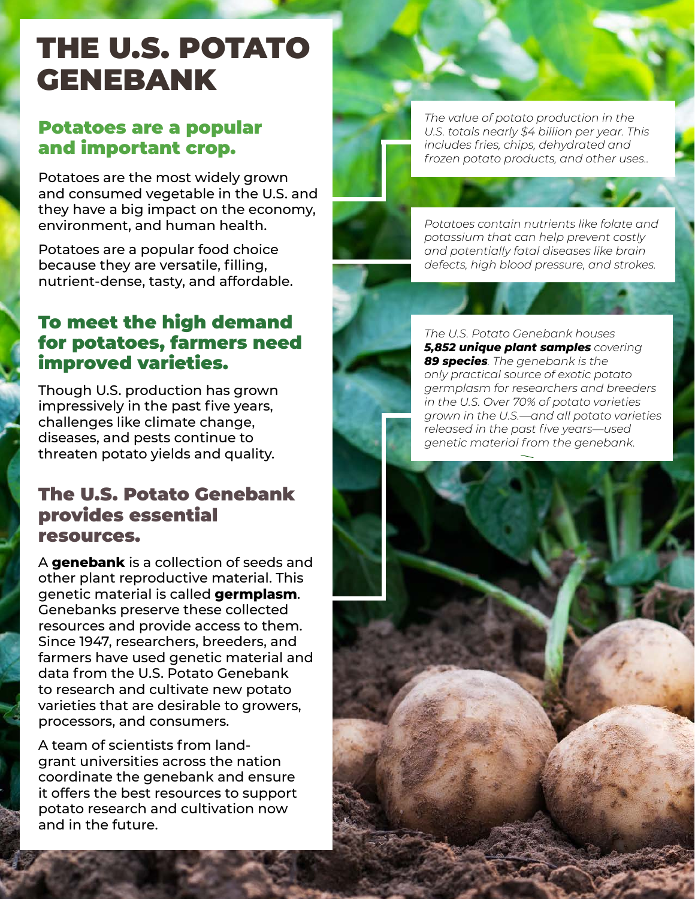# THE U.S. POTATO GENEBANK

#### Potatoes are a popular and important crop.

Potatoes are the most widely grown and consumed vegetable in the U.S. and they have a big impact on the economy, environment, and human health.

Potatoes are a popular food choice because they are versatile, filling, nutrient-dense, tasty, and affordable.

#### To meet the high demand for potatoes, farmers need improved varieties.

Though U.S. production has grown impressively in the past five years, challenges like climate change, diseases, and pests continue to threaten potato yields and quality.

#### The U.S. Potato Genebank provides essential resources.

A **genebank** is a collection of seeds and other plant reproductive material. This genetic material is called **germplasm**. Genebanks preserve these collected resources and provide access to them. Since 1947, researchers, breeders, and farmers have used genetic material and data from the U.S. Potato Genebank to research and cultivate new potato varieties that are desirable to growers, processors, and consumers.

A team of scientists from landgrant universities across the nation coordinate the genebank and ensure it offers the best resources to support potato research and cultivation now and in the future.

*The value of potato production in the U.S. totals nearly \$4 billion per year. This includes fries, chips, dehydrated and frozen potato products, and other uses..*

*Potatoes contain nutrients like folate and potassium that can help prevent costly and potentially fatal diseases like brain defects, high blood pressure, and strokes.*

*The U.S. Potato Genebank houses 5,852 unique plant samples covering 89 species. The genebank is the only practical source of exotic potato germplasm for researchers and breeders in the U.S. Over 70% of potato varieties grown in the U.S.—and all potato varieties released in the past five years—used genetic material from the genebank.*